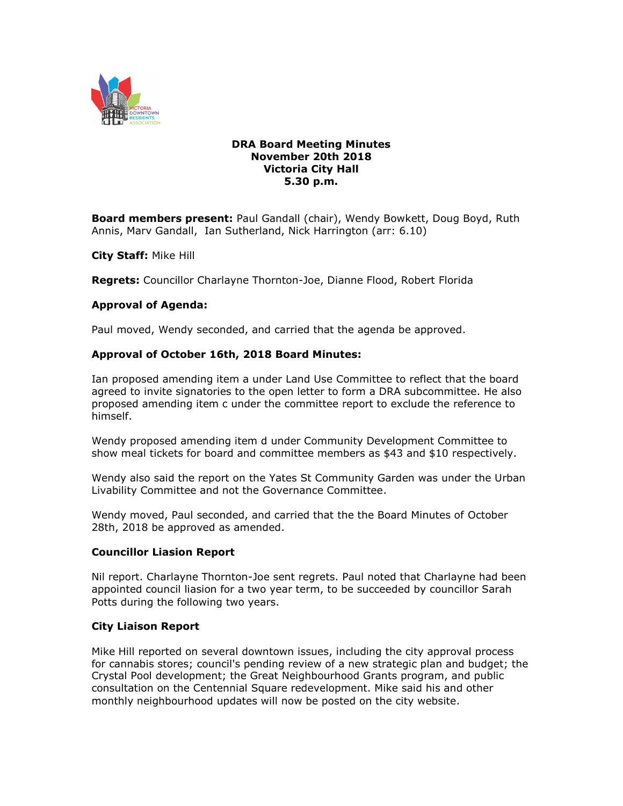

### **DRA Board Meeting Minutes November 20th 2018 Victoria City Hall 5.30 p.m.**

**Board members present:** Paul Gandall (chair), Wendy Bowkett, Doug Boyd, Ruth Annis, Marv Gandall, Ian Sutherland, Nick Harrington (arr: 6.10)

**City Staff:** Mike Hill

**Regrets:** Councillor Charlayne Thornton-Joe, Dianne Flood, Robert Florida

#### **Approval of Agenda:**

Paul moved, Wendy seconded, and carried that the agenda be approved.

#### **Approval of October 16th, 2018 Board Minutes:**

Ian proposed amending item a under Land Use Committee to reflect that the board agreed to invite signatories to the open letter to form a DRA subcommittee. He also proposed amending item c under the committee report to exclude the reference to himself.

Wendy proposed amending item d under Community Development Committee to show meal tickets for board and committee members as \$43 and \$10 respectively.

Wendy also said the report on the Yates St Community Garden was under the Urban Livability Committee and not the Governance Committee.

Wendy moved, Paul seconded, and carried that the the Board Minutes of October 28th, 2018 be approved as amended.

#### **Councillor Liasion Report**

Nil report. Charlayne Thornton-Joe sent regrets. Paul noted that Charlayne had been appointed council liasion for a two year term, to be succeeded by councillor Sarah Potts during the following two years.

### **City Liaison Report**

Mike Hill reported on several downtown issues, including the city approval process for cannabis stores; council's pending review of a new strategic plan and budget; the Crystal Pool development; the Great Neighbourhood Grants program, and public consultation on the Centennial Square redevelopment. Mike said his and other monthly neighbourhood updates will now be posted on the city website.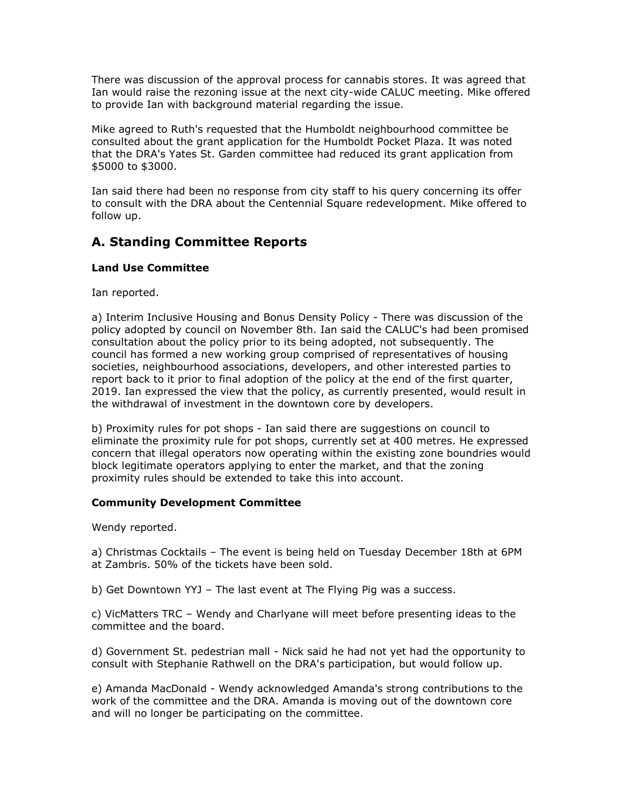There was discussion of the approval process for cannabis stores. It was agreed that Ian would raise the rezoning issue at the next city-wide CALUC meeting. Mike offered to provide Ian with background material regarding the issue.

Mike agreed to Ruth's requested that the Humboldt neighbourhood committee be consulted about the grant application for the Humboldt Pocket Plaza. It was noted that the DRA's Yates St. Garden committee had reduced its grant application from \$5000 to \$3000.

Ian said there had been no response from city staff to his query concerning its offer to consult with the DRA about the Centennial Square redevelopment. Mike offered to follow up.

# **A. Standing Committee Reports**

# **Land Use Committee**

Ian reported.

a) Interim Inclusive Housing and Bonus Density Policy - There was discussion of the policy adopted by council on November 8th. Ian said the CALUC's had been promised consultation about the policy prior to its being adopted, not subsequently. The council has formed a new working group comprised of representatives of housing societies, neighbourhood associations, developers, and other interested parties to report back to it prior to final adoption of the policy at the end of the first quarter, 2019. Ian expressed the view that the policy, as currently presented, would result in the withdrawal of investment in the downtown core by developers.

b) Proximity rules for pot shops - Ian said there are suggestions on council to eliminate the proximity rule for pot shops, currently set at 400 metres. He expressed concern that illegal operators now operating within the existing zone boundries would block legitimate operators applying to enter the market, and that the zoning proximity rules should be extended to take this into account.

# **Community Development Committee**

Wendy reported.

a) Christmas Cocktails – The event is being held on Tuesday December 18th at 6PM at Zambris. 50% of the tickets have been sold.

b) Get Downtown YYJ – The last event at The Flying Pig was a success.

c) VicMatters TRC – Wendy and Charlyane will meet before presenting ideas to the committee and the board.

d) Government St. pedestrian mall - Nick said he had not yet had the opportunity to consult with Stephanie Rathwell on the DRA's participation, but would follow up.

e) Amanda MacDonald - Wendy acknowledged Amanda's strong contributions to the work of the committee and the DRA. Amanda is moving out of the downtown core and will no longer be participating on the committee.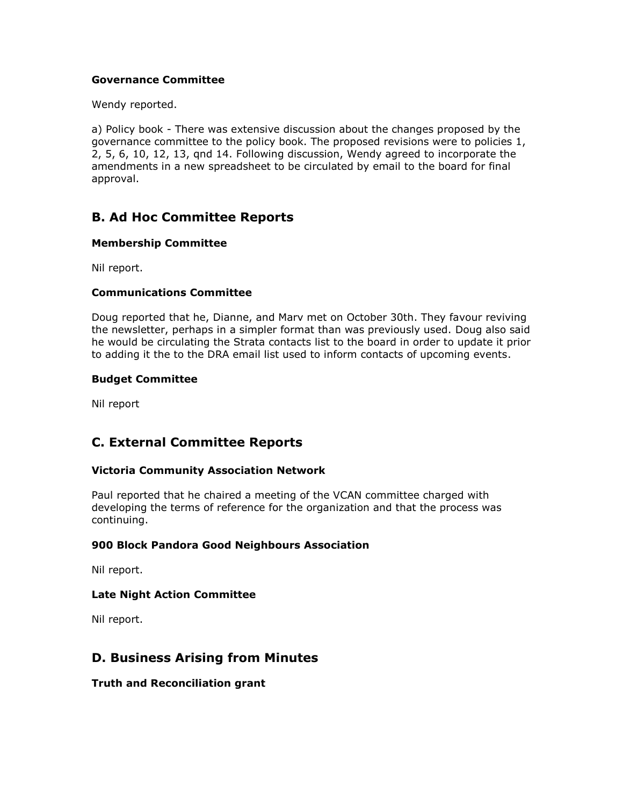### **Governance Committee**

Wendy reported.

a) Policy book - There was extensive discussion about the changes proposed by the governance committee to the policy book. The proposed revisions were to policies 1, 2, 5, 6, 10, 12, 13, qnd 14. Following discussion, Wendy agreed to incorporate the amendments in a new spreadsheet to be circulated by email to the board for final approval.

# **B. Ad Hoc Committee Reports**

## **Membership Committee**

Nil report.

# **Communications Committee**

Doug reported that he, Dianne, and Marv met on October 30th. They favour reviving the newsletter, perhaps in a simpler format than was previously used. Doug also said he would be circulating the Strata contacts list to the board in order to update it prior to adding it the to the DRA email list used to inform contacts of upcoming events.

## **Budget Committee**

Nil report

# **C. External Committee Reports**

# **Victoria Community Association Network**

Paul reported that he chaired a meeting of the VCAN committee charged with developing the terms of reference for the organization and that the process was continuing.

# **900 Block Pandora Good Neighbours Association**

Nil report.

### **Late Night Action Committee**

Nil report.

# **D. Business Arising from Minutes**

### **Truth and Reconciliation grant**